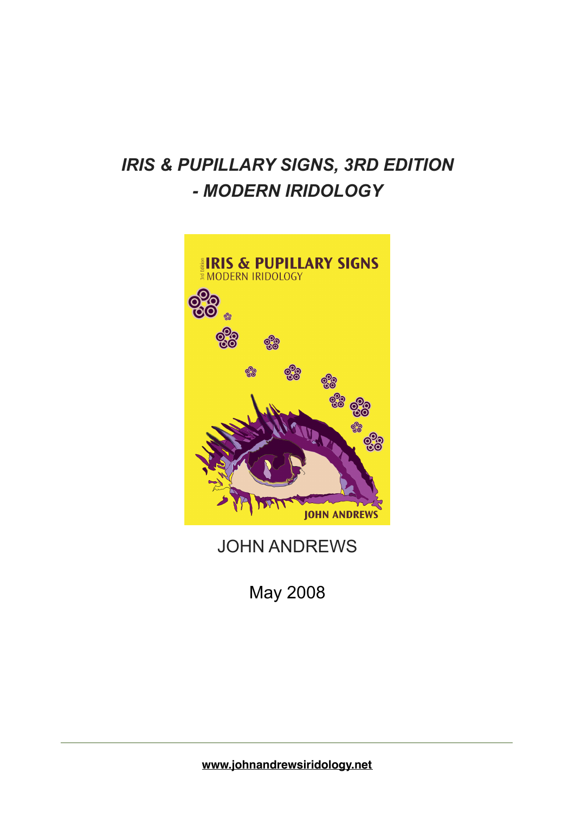## *IRIS & PUPILLARY SIGNS, 3RD EDITION - MODERN IRIDOLOGY*



JOHN ANDREWS

May 2008

**[www.johnandrewsiridology.net](http://www.johnandrewsiridology.net)**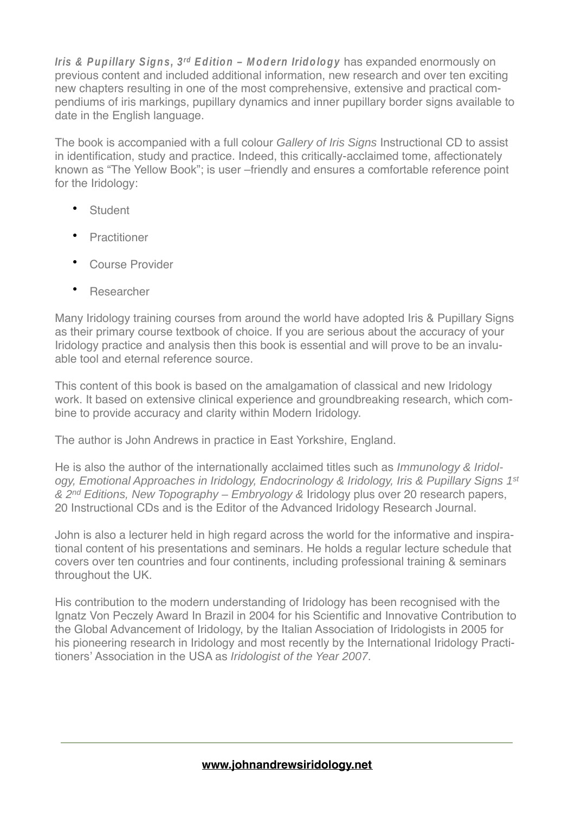**Iris & Pupillary Signs, 3<sup>rd</sup> Edition – Modern Iridology** has expanded enormously on previous content and included additional information, new research and over ten exciting new chapters resulting in one of the most comprehensive, extensive and practical compendiums of iris markings, pupillary dynamics and inner pupillary border signs available to date in the English language.

The book is accompanied with a full colour Gallery of Iris Signs Instructional CD to assist in identification, study and practice. Indeed, this critically-acclaimed tome, affectionately known as "The Yellow Book"; is user –friendly and ensures a comfortable reference point for the Iridology:

- **Student**
- **Practitioner**
- Course Provider
- **Researcher**

Many Iridology training courses from around the world have adopted Iris & Pupillary Signs as their primary course textbook of choice. If you are serious about the accuracy of your Iridology practice and analysis then this book is essential and will prove to be an invaluable tool and eternal reference source.

This content of this book is based on the amalgamation of classical and new Iridology work. It based on extensive clinical experience and groundbreaking research, which combine to provide accuracy and clarity within Modern Iridology.

The author is John Andrews in practice in East Yorkshire, England.

He is also the author of the internationally acclaimed titles such as *Immunology & Iridol*ogy, Emotional Approaches in Iridology, Endocrinology & Iridology, Iris & Pupillary Signs 1<sup>st</sup> & 2<sup>nd</sup> Editions, New Topography – Embryology & Iridology plus over 20 research papers, 20 Instructional CDs and is the Editor of the Advanced Iridology Research Journal.

John is also a lecturer held in high regard across the world for the informative and inspirational content of his presentations and seminars. He holds a regular lecture schedule that covers over ten countries and four continents, including professional training & seminars throughout the UK.

His contribution to the modern understanding of Iridology has been recognised with the Ignatz Von Peczely Award In Brazil in 2004 for his Scientific and Innovative Contribution to the Global Advancement of Iridology, by the Italian Association of Iridologists in 2005 for his pioneering research in Iridology and most recently by the International Iridology Practitioners' Association in the USA as Iridologist of the Year 2007.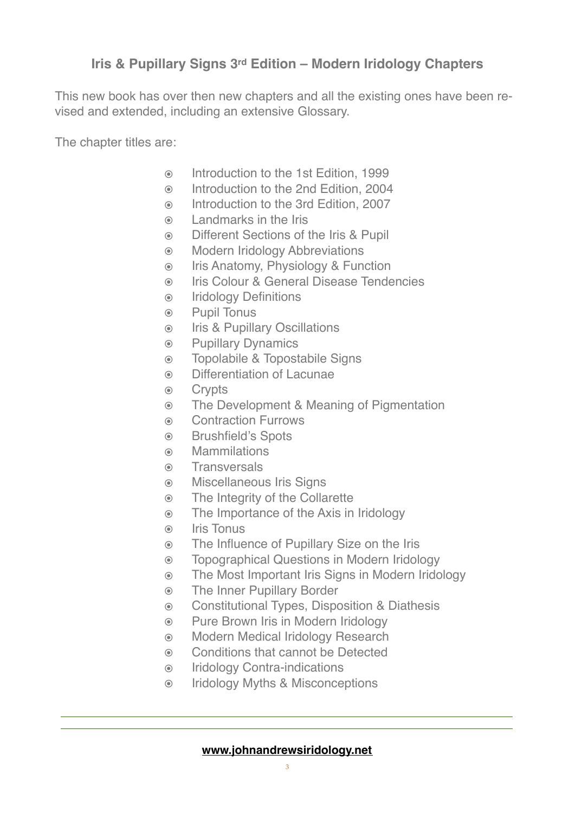## **Iris & Pupillary Signs 3rd Edition – Modern Iridology Chapters**

This new book has over then new chapters and all the existing ones have been revised and extended, including an extensive Glossary.

The chapter titles are:

- ๏ Introduction to the 1st Edition, 1999
- ๏ Introduction to the 2nd Edition, 2004
- ๏ Introduction to the 3rd Edition, 2007
- ๏ Landmarks in the Iris
- ๏ Different Sections of the Iris & Pupil
- ๏ Modern Iridology Abbreviations
- ๏ Iris Anatomy, Physiology & Function
- ๏ Iris Colour & General Disease Tendencies
- ๏ Iridology Definitions
- ๏ Pupil Tonus
- ๏ Iris & Pupillary Oscillations
- ๏ Pupillary Dynamics
- ๏ Topolabile & Topostabile Signs
- ๏ Differentiation of Lacunae
- ๏ Crypts
- ๏ The Development & Meaning of Pigmentation
- ๏ Contraction Furrows
- ๏ Brushfield's Spots
- ๏ Mammilations
- ๏ Transversals
- ๏ Miscellaneous Iris Signs
- ๏ The Integrity of the Collarette
- ๏ The Importance of the Axis in Iridology
- ๏ Iris Tonus
- ๏ The Influence of Pupillary Size on the Iris
- ๏ Topographical Questions in Modern Iridology
- ๏ The Most Important Iris Signs in Modern Iridology
- ๏ The Inner Pupillary Border
- ๏ Constitutional Types, Disposition & Diathesis
- ๏ Pure Brown Iris in Modern Iridology
- ๏ Modern Medical Iridology Research
- ๏ Conditions that cannot be Detected
- ๏ Iridology Contra-indications
- ๏ Iridology Myths & Misconceptions